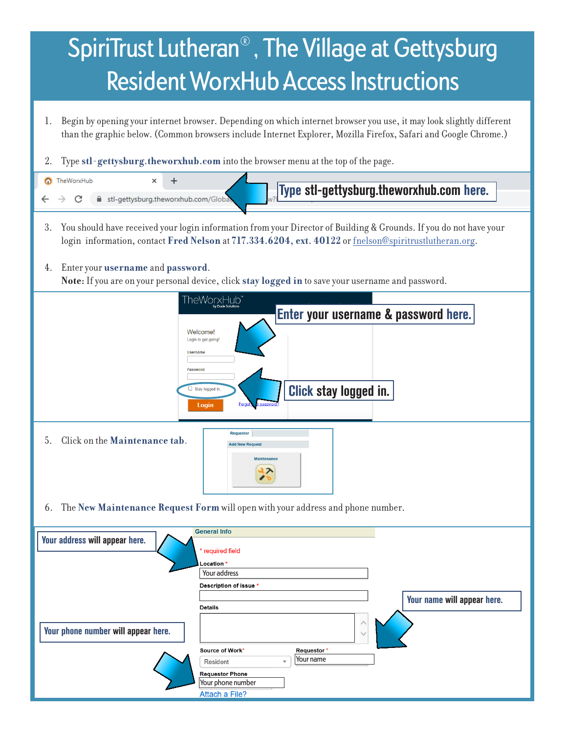

**Attach a File?**